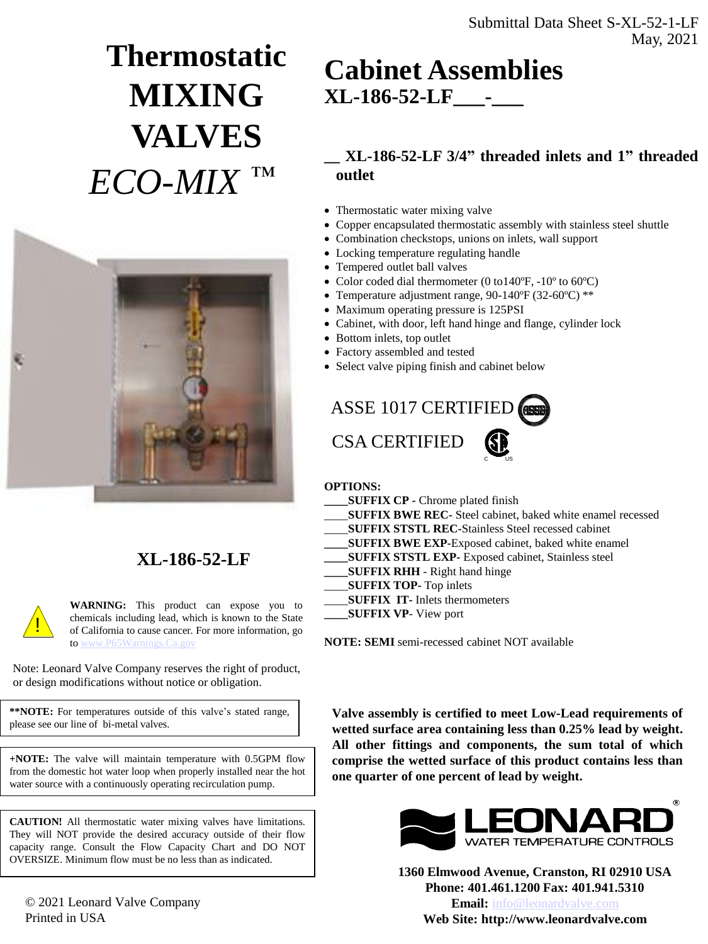### Submittal Data Sheet S-XL-52-1-LF May, 2021

# **Thermostatic MIXING VALVES** *ECO-MIX ™*



### **XL-186-52-LF**

**WARNING:** This product can expose you to chemicals including lead, which is known to the State of California to cause cancer. For more information, go to [www.P65Warnings.Ca.gov](http://www.p65warnings.ca.gov/)

Note: Leonard Valve Company reserves the right of product, or design modifications without notice or obligation.

!

**\*\*NOTE:** For temperatures outside of this valve's stated range, please see our line of bi-metal valves.

**+NOTE:** The valve will maintain temperature with 0.5GPM flow from the domestic hot water loop when properly installed near the hot water source with a continuously operating recirculation pump.

**CAUTION!** All thermostatic water mixing valves have limitations. They will NOT provide the desired accuracy outside of their flow capacity range. Consult the Flow Capacity Chart and DO NOT OVERSIZE. Minimum flow must be no less than as indicated.

© 2021 Leonard Valve Company Printed in USA

## **Cabinet Assemblies XL-186-52-LF\_\_\_-\_\_\_**

### **\_\_ XL-186-52-LF 3/4" threaded inlets and 1" threaded outlet**

- Thermostatic water mixing valve
- Copper encapsulated thermostatic assembly with stainless steel shuttle
- Combination checkstops, unions on inlets, wall support
- Locking temperature regulating handle
- Tempered outlet ball valves
- Color coded dial thermometer (0 to140°F, -10° to 60°C)
- Temperature adjustment range, 90-140ºF (32-60ºC) \*\*
- Maximum operating pressure is 125PSI
- Cabinet, with door, left hand hinge and flange, cylinder lock
- Bottom inlets, top outlet
- Factory assembled and tested
- Select valve piping finish and cabinet below

ASSE 1017 CERTIFIED CSA CERTIFIED c – us

#### **OPTIONS:**

- **\_\_\_\_SUFFIX CP -** Chrome plated finish
- \_\_\_\_**SUFFIX BWE REC-** Steel cabinet, baked white enamel recessed
- \_\_\_\_**SUFFIX STSTL REC-**Stainless Steel recessed cabinet
- **\_\_\_\_SUFFIX BWE EXP-**Exposed cabinet, baked white enamel
- **\_\_\_\_SUFFIX STSTL EXP-** Exposed cabinet, Stainless steel
- **\_\_\_\_SUFFIX RHH** Right hand hinge
	- \_\_\_\_**SUFFIX TOP-** Top inlets
- \_\_\_\_**SUFFIX IT-** Inlets thermometers
- **\_\_\_\_SUFFIX VP** View port

**NOTE: SEMI** semi-recessed cabinet NOT available

**Valve assembly is certified to meet Low-Lead requirements of wetted surface area containing less than 0.25% lead by weight. All other fittings and components, the sum total of which comprise the wetted surface of this product contains less than one quarter of one percent of lead by weight.**



**1360 Elmwood Avenue, Cranston, RI 02910 USA Phone: 401.461.1200 Fax: 401.941.5310 Email:** [info@leonardvalve.com](mailto:info@leonardvalve.com) **Web Site: http://www.leonardvalve.com**